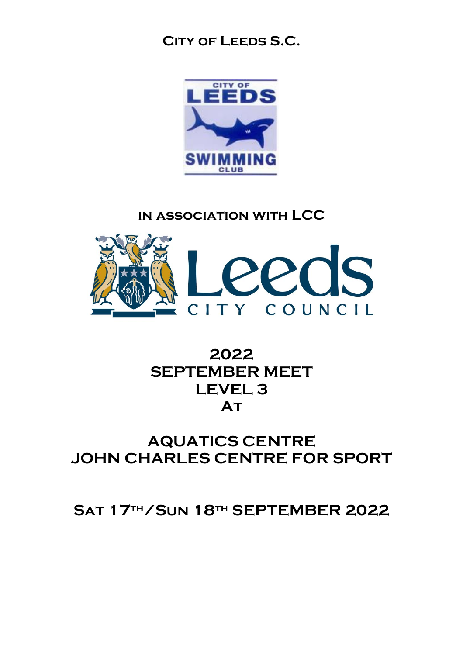### **City of Leeds S.C.**



### **in association with LCC**



### **2022 SEPTEMBER MEET LEVEL 3 At**

### **AQUATICS CENTRE JOHN CHARLES CENTRE FOR SPORT**

### **Sat 17th/Sun 18th SEPTEMBER 2022**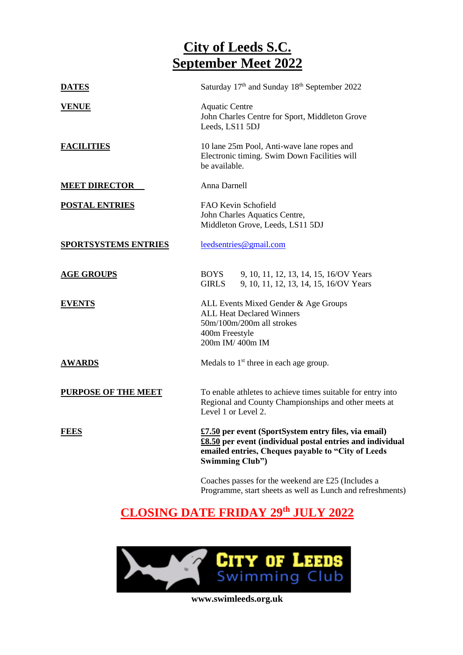### **City of Leeds S.C. September Meet 2022**

| <b>DATES</b>                | Saturday 17th and Sunday 18th September 2022                                                                                                                                                       |
|-----------------------------|----------------------------------------------------------------------------------------------------------------------------------------------------------------------------------------------------|
| <b>VENUE</b>                | <b>Aquatic Centre</b><br>John Charles Centre for Sport, Middleton Grove<br>Leeds, LS11 5DJ                                                                                                         |
| <b>FACILITIES</b>           | 10 lane 25m Pool, Anti-wave lane ropes and<br>Electronic timing. Swim Down Facilities will<br>be available.                                                                                        |
| <b>MEET DIRECTOR</b>        | Anna Darnell                                                                                                                                                                                       |
| <b>POSTAL ENTRIES</b>       | FAO Kevin Schofield<br>John Charles Aquatics Centre,<br>Middleton Grove, Leeds, LS11 5DJ                                                                                                           |
| <b>SPORTSYSTEMS ENTRIES</b> | leedsentries@gmail.com                                                                                                                                                                             |
| <b>AGE GROUPS</b>           | <b>BOYS</b><br>9, 10, 11, 12, 13, 14, 15, 16/OV Years<br><b>GIRLS</b><br>9, 10, 11, 12, 13, 14, 15, 16/OV Years                                                                                    |
| <b>EVENTS</b>               | ALL Events Mixed Gender & Age Groups<br><b>ALL Heat Declared Winners</b><br>50m/100m/200m all strokes<br>400m Freestyle<br>200m IM/400m IM                                                         |
| <b>AWARDS</b>               | Medals to 1 <sup>st</sup> three in each age group.                                                                                                                                                 |
| <b>PURPOSE OF THE MEET</b>  | To enable athletes to achieve times suitable for entry into<br>Regional and County Championships and other meets at<br>Level 1 or Level 2.                                                         |
| <b>FEES</b>                 | £7.50 per event (SportSystem entry files, via email)<br>£8.50 per event (individual postal entries and individual<br>emailed entries, Cheques payable to "City of Leeds<br><b>Swimming Club"</b> ) |
|                             | $C = 1$ $C = 1$ $1$ $C = 1$ $1$                                                                                                                                                                    |

Coaches passes for the weekend are £25 (Includes a Programme, start sheets as well as Lunch and refreshments)

### **CLOSING DATE FRIDAY 29th JULY 2022**

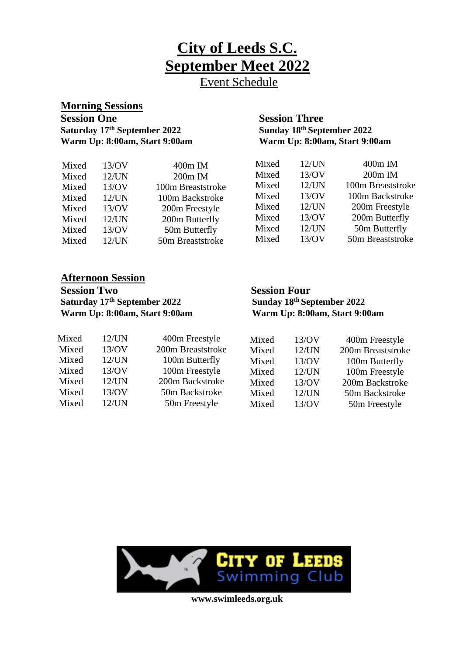**City of Leeds S.C. September Meet 2022**

Event Schedule

# **Morning Sessions Warm Up: 8:00am, Start 9:00am**

## **Session Three<br>Sunday 18th September 2022 Saturday 17<sup>th</sup> September 2022**<br> **Sunday 18<sup>th</sup> September 2022**<br> **Warm Up: 8:00am, Start 9:00am**<br> **Warm Up: 8:00am, Start 9:00am**

| Mixed | 13/OV    | $400m$ IM         | Mixed | $12$ /UN | 400m IM           |
|-------|----------|-------------------|-------|----------|-------------------|
| Mixed | $12$ /UN | 200m IM           | Mixed | 13/OV    | $200m$ IM         |
| Mixed | 13/OV    | 100m Breaststroke | Mixed | $12$ /UN | 100m Breaststroke |
| Mixed | $12$ /UN | 100m Backstroke   | Mixed | 13/OV    | 100m Backstroke   |
| Mixed | 13/OV    | 200m Freestyle    | Mixed | $12$ /UN | 200m Freestyle    |
| Mixed | $12$ /UN | 200m Butterfly    | Mixed | 13/OV    | 200m Butterfly    |
| Mixed | 13/OV    | 50m Butterfly     | Mixed | $12$ /UN | 50m Butterfly     |
| Mixed | $12$ /UN | 50m Breaststroke  | Mixed | 13/OV    | 50m Breaststroke  |
|       |          |                   |       |          |                   |

#### **Afternoon Session**

**Session Two**<br>Session Four<br>Sunday 18<sup>th</sup> September 2022<br>Sunday 18<sup>th</sup> September 2022 **Saturday 17<sup>th</sup> September 2022 Sunday 18<sup>th</sup> September 2022 Warm Up: 8:00am, Start 9:00am Warm Up: 8:00am, Start 9:00am** 

| Mixed | $12$ /UN | 400m Freestyle    | Mixed | 13/OV    | 400m Freestyle    |
|-------|----------|-------------------|-------|----------|-------------------|
| Mixed | 13/OV    | 200m Breaststroke | Mixed | $12$ /UN | 200m Breaststroke |
| Mixed | 12/UN    | 100m Butterfly    | Mixed | 13/OV    | 100m Butterfly    |
| Mixed | 13/OV    | 100m Freestyle    | Mixed | $12$ /UN | 100m Freestyle    |
| Mixed | $12$ /UN | 200m Backstroke   | Mixed | 13/OV    | 200m Backstroke   |
| Mixed | 13/OV    | 50m Backstroke    | Mixed | $12$ /UN | 50m Backstroke    |
| Mixed | $12$ /UN | 50m Freestyle     | Mixed | 13/OV    | 50m Freestyle     |

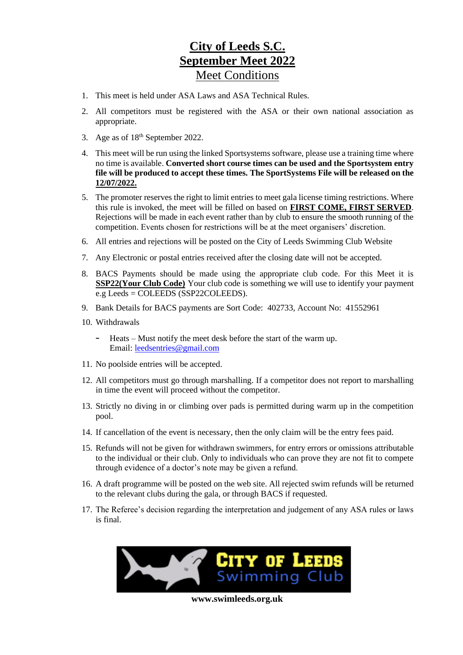### **City of Leeds S.C. September Meet 2022** Meet Conditions

- 1. This meet is held under ASA Laws and ASA Technical Rules.
- 2. All competitors must be registered with the ASA or their own national association as appropriate.
- 3. Age as of  $18<sup>th</sup>$  September 2022.
- 4. This meet will be run using the linked Sportsystems software, please use a training time where no time is available. **Converted short course times can be used and the Sportsystem entry file will be produced to accept these times. The SportSystems File will be released on the 12/07/2022.**
- 5. The promoter reserves the right to limit entries to meet gala license timing restrictions. Where this rule is invoked, the meet will be filled on based on **FIRST COME, FIRST SERVED**. Rejections will be made in each event rather than by club to ensure the smooth running of the competition. Events chosen for restrictions will be at the meet organisers' discretion.
- 6. All entries and rejections will be posted on the City of Leeds Swimming Club Website
- 7. Any Electronic or postal entries received after the closing date will not be accepted.
- 8. BACS Payments should be made using the appropriate club code. For this Meet it is **SSP22(Your Club Code)** Your club code is something we will use to identify your payment e.g Leeds = COLEEDS (SSP22COLEEDS).
- 9. Bank Details for BACS payments are Sort Code: 402733, Account No: 41552961
- 10. Withdrawals
	- Heats Must notify the meet desk before the start of the warm up. Email: [leedsentries@gmail.com](mailto:leedsentries@gmail.com)
- 11. No poolside entries will be accepted.
- 12. All competitors must go through marshalling. If a competitor does not report to marshalling in time the event will proceed without the competitor.
- 13. Strictly no diving in or climbing over pads is permitted during warm up in the competition pool.
- 14. If cancellation of the event is necessary, then the only claim will be the entry fees paid.
- 15. Refunds will not be given for withdrawn swimmers, for entry errors or omissions attributable to the individual or their club. Only to individuals who can prove they are not fit to compete through evidence of a doctor's note may be given a refund.
- 16. A draft programme will be posted on the web site. All rejected swim refunds will be returned to the relevant clubs during the gala, or through BACS if requested.
- 17. The Referee's decision regarding the interpretation and judgement of any ASA rules or laws is final.

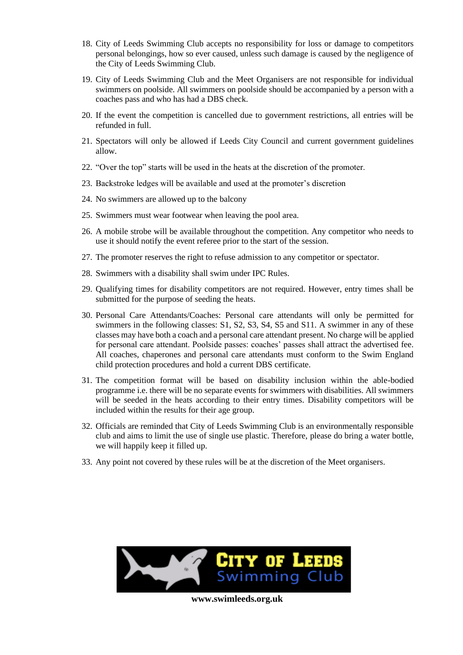- 18. City of Leeds Swimming Club accepts no responsibility for loss or damage to competitors personal belongings, how so ever caused, unless such damage is caused by the negligence of the City of Leeds Swimming Club.
- 19. City of Leeds Swimming Club and the Meet Organisers are not responsible for individual swimmers on poolside. All swimmers on poolside should be accompanied by a person with a coaches pass and who has had a DBS check.
- 20. If the event the competition is cancelled due to government restrictions, all entries will be refunded in full.
- 21. Spectators will only be allowed if Leeds City Council and current government guidelines allow.
- 22. "Over the top" starts will be used in the heats at the discretion of the promoter.
- 23. Backstroke ledges will be available and used at the promoter's discretion
- 24. No swimmers are allowed up to the balcony
- 25. Swimmers must wear footwear when leaving the pool area.
- 26. A mobile strobe will be available throughout the competition. Any competitor who needs to use it should notify the event referee prior to the start of the session.
- 27. The promoter reserves the right to refuse admission to any competitor or spectator.
- 28. Swimmers with a disability shall swim under IPC Rules.
- 29. Qualifying times for disability competitors are not required. However, entry times shall be submitted for the purpose of seeding the heats.
- 30. Personal Care Attendants/Coaches: Personal care attendants will only be permitted for swimmers in the following classes: S1, S2, S3, S4, S5 and S11. A swimmer in any of these classes may have both a coach and a personal care attendant present. No charge will be applied for personal care attendant. Poolside passes: coaches' passes shall attract the advertised fee. All coaches, chaperones and personal care attendants must conform to the Swim England child protection procedures and hold a current DBS certificate.
- 31. The competition format will be based on disability inclusion within the able-bodied programme i.e. there will be no separate events for swimmers with disabilities. All swimmers will be seeded in the heats according to their entry times. Disability competitors will be included within the results for their age group.
- 32. Officials are reminded that City of Leeds Swimming Club is an environmentally responsible club and aims to limit the use of single use plastic. Therefore, please do bring a water bottle, we will happily keep it filled up.
- 33. Any point not covered by these rules will be at the discretion of the Meet organisers.

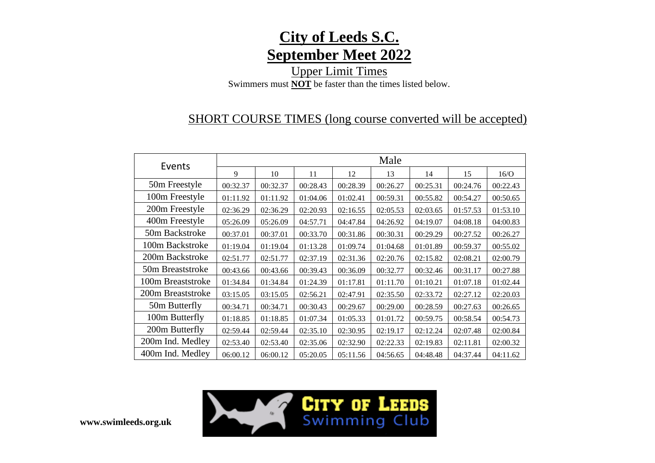

Upper Limit Times Swimmers must **NOT** be faster than the times listed below.

### SHORT COURSE TIMES (long course converted will be accepted)

| Events            | Male     |          |          |          |          |          |          |          |
|-------------------|----------|----------|----------|----------|----------|----------|----------|----------|
|                   | 9        | 10       | 11       | 12       | 13       | 14       | 15       | 16/O     |
| 50m Freestyle     | 00:32.37 | 00:32.37 | 00:28.43 | 00:28.39 | 00:26.27 | 00:25.31 | 00:24.76 | 00:22.43 |
| 100m Freestyle    | 01:11.92 | 01:11.92 | 01:04.06 | 01:02.41 | 00:59.31 | 00:55.82 | 00:54.27 | 00:50.65 |
| 200m Freestyle    | 02:36.29 | 02:36.29 | 02:20.93 | 02:16.55 | 02:05.53 | 02:03.65 | 01:57.53 | 01:53.10 |
| 400m Freestyle    | 05:26.09 | 05:26.09 | 04:57.71 | 04:47.84 | 04:26.92 | 04:19.07 | 04:08.18 | 04:00.83 |
| 50m Backstroke    | 00:37.01 | 00:37.01 | 00:33.70 | 00:31.86 | 00:30.31 | 00:29.29 | 00:27.52 | 00:26.27 |
| 100m Backstroke   | 01:19.04 | 01:19.04 | 01:13.28 | 01:09.74 | 01:04.68 | 01:01.89 | 00:59.37 | 00:55.02 |
| 200m Backstroke   | 02:51.77 | 02:51.77 | 02:37.19 | 02:31.36 | 02:20.76 | 02:15.82 | 02:08.21 | 02:00.79 |
| 50m Breaststroke  | 00:43.66 | 00:43.66 | 00:39.43 | 00:36.09 | 00:32.77 | 00:32.46 | 00:31.17 | 00:27.88 |
| 100m Breaststroke | 01:34.84 | 01:34.84 | 01:24.39 | 01:17.81 | 01:11.70 | 01:10.21 | 01:07.18 | 01:02.44 |
| 200m Breaststroke | 03:15.05 | 03:15.05 | 02:56.21 | 02:47.91 | 02:35.50 | 02:33.72 | 02:27.12 | 02:20.03 |
| 50m Butterfly     | 00:34.71 | 00:34.71 | 00:30.43 | 00:29.67 | 00:29.00 | 00:28.59 | 00:27.63 | 00:26.65 |
| 100m Butterfly    | 01:18.85 | 01:18.85 | 01:07.34 | 01:05.33 | 01:01.72 | 00:59.75 | 00:58.54 | 00:54.73 |
| 200m Butterfly    | 02:59.44 | 02:59.44 | 02:35.10 | 02:30.95 | 02:19.17 | 02:12.24 | 02:07.48 | 02:00.84 |
| 200m Ind. Medley  | 02:53.40 | 02:53.40 | 02:35.06 | 02:32.90 | 02:22.33 | 02:19.83 | 02:11.81 | 02:00.32 |
| 400m Ind. Medley  | 06:00.12 | 06:00.12 | 05:20.05 | 05:11.56 | 04:56.65 | 04:48.48 | 04:37.44 | 04:11.62 |

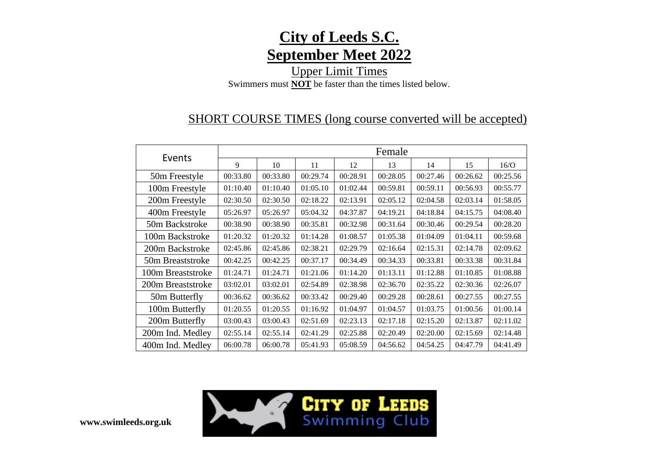

Upper Limit Times Swimmers must **NOT** be faster than the times listed below.

### SHORT COURSE TIMES (long course converted will be accepted)

| Events            | Female   |          |          |          |          |          |          |          |
|-------------------|----------|----------|----------|----------|----------|----------|----------|----------|
|                   | 9        | 10       | 11       | 12       | 13       | 14       | 15       | 16/O     |
| 50m Freestyle     | 00:33.80 | 00:33.80 | 00:29.74 | 00:28.91 | 00:28.05 | 00:27.46 | 00:26.62 | 00:25.56 |
| 100m Freestyle    | 01:10.40 | 01:10.40 | 01:05.10 | 01:02.44 | 00:59.81 | 00:59.11 | 00:56.93 | 00:55.77 |
| 200m Freestyle    | 02:30.50 | 02:30.50 | 02:18.22 | 02:13.91 | 02:05.12 | 02:04.58 | 02:03.14 | 01:58.05 |
| 400m Freestyle    | 05:26.97 | 05:26.97 | 05:04.32 | 04:37.87 | 04:19.21 | 04:18.84 | 04:15.75 | 04:08.40 |
| 50m Backstroke    | 00:38.90 | 00:38.90 | 00:35.81 | 00:32.98 | 00:31.64 | 00:30.46 | 00:29.54 | 00:28.20 |
| 100m Backstroke   | 01:20.32 | 01:20.32 | 01:14.28 | 01:08.57 | 01:05.38 | 01:04.09 | 01:04.11 | 00:59.68 |
| 200m Backstroke   | 02:45.86 | 02:45.86 | 02:38.21 | 02:29.79 | 02:16.64 | 02:15.31 | 02:14.78 | 02:09.62 |
| 50m Breaststroke  | 00:42.25 | 00:42.25 | 00:37.17 | 00:34.49 | 00:34.33 | 00:33.81 | 00:33.38 | 00:31.84 |
| 100m Breaststroke | 01:24.71 | 01:24.71 | 01:21.06 | 01:14.20 | 01:13.11 | 01:12.88 | 01:10.85 | 01:08.88 |
| 200m Breaststroke | 03:02.01 | 03:02.01 | 02:54.89 | 02:38.98 | 02:36.70 | 02:35.22 | 02:30.36 | 02:26.07 |
| 50m Butterfly     | 00:36.62 | 00:36.62 | 00:33.42 | 00:29.40 | 00:29.28 | 00:28.61 | 00:27.55 | 00:27.55 |
| 100m Butterfly    | 01:20.55 | 01:20.55 | 01:16.92 | 01:04.97 | 01:04.57 | 01:03.75 | 01:00.56 | 01:00.14 |
| 200m Butterfly    | 03:00.43 | 03:00.43 | 02:51.69 | 02:23.13 | 02:17.18 | 02:15.20 | 02:13.87 | 02:11.02 |
| 200m Ind. Medley  | 02:55.14 | 02:55.14 | 02:41.29 | 02:25.88 | 02:20.49 | 02:20.00 | 02:15.69 | 02:14.48 |
| 400m Ind. Medley  | 06:00.78 | 06:00.78 | 05:41.93 | 05:08.59 | 04:56.62 | 04:54.25 | 04:47.79 | 04:41.49 |

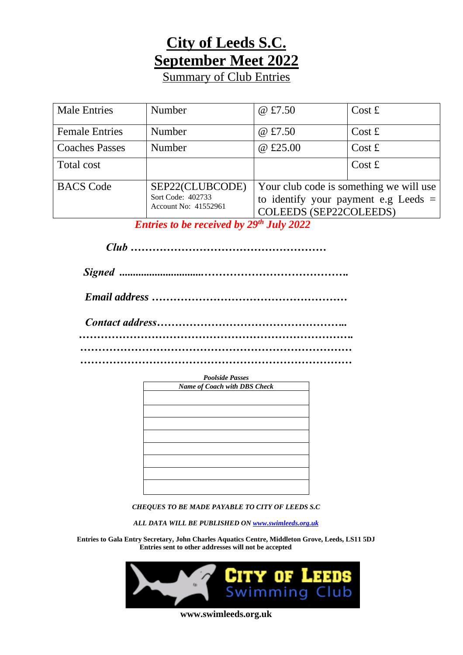## **City of Leeds S.C. September Meet 2022**

Summary of Club Entries

| <b>Male Entries</b>   | Number                                                       | @ £7.50                                                                                                     | Cost f |  |
|-----------------------|--------------------------------------------------------------|-------------------------------------------------------------------------------------------------------------|--------|--|
| <b>Female Entries</b> | Number                                                       | @ £7.50                                                                                                     | Cost f |  |
| <b>Coaches Passes</b> | Number                                                       | @ £25.00                                                                                                    | Cost f |  |
| Total cost            |                                                              |                                                                                                             | Cost f |  |
| <b>BACS</b> Code      | SEP22(CLUBCODE)<br>Sort Code: 402733<br>Account No: 41552961 | Your club code is something we will use<br>to identify your payment e.g Leeds $=$<br>COLEEDS (SEP22COLEEDS) |        |  |

*Entries to be received by 29th July 2022*

*Club ………………………………………………*

| <b>Poolside Passes</b>       |  |  |  |  |  |
|------------------------------|--|--|--|--|--|
| Name of Coach with DBS Check |  |  |  |  |  |
|                              |  |  |  |  |  |
|                              |  |  |  |  |  |
|                              |  |  |  |  |  |
|                              |  |  |  |  |  |
|                              |  |  |  |  |  |
|                              |  |  |  |  |  |
|                              |  |  |  |  |  |
|                              |  |  |  |  |  |
|                              |  |  |  |  |  |
|                              |  |  |  |  |  |
|                              |  |  |  |  |  |
|                              |  |  |  |  |  |

*CHEQUES TO BE MADE PAYABLE TO CITY OF LEEDS S.C*

*ALL DATA WILL BE PUBLISHED ON [www.swimleeds.org.uk](http://www.swimleeds.org.uk/)*

**Entries to Gala Entry Secretary, John Charles Aquatics Centre, Middleton Grove, Leeds, LS11 5DJ Entries sent to other addresses will not be accepted**